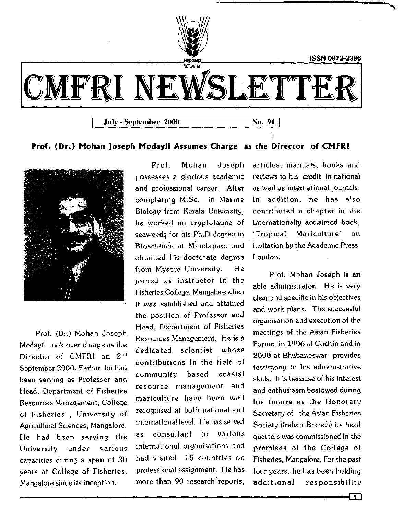

July - September 2000 No. 91

## **Prof. (Dr.) Mohan Joseph Modayil Assumes Charge as the Director of CMFRI**



Prof. (Dr.) Mohan Joseph Modayil took over charge as the Director of CMFRI on 2<sup>nd</sup> September 2000. Earlier he had been serving as Professor and Head, Department of Fisheries Resources Management, College of Fisheries , University of Agricultural Sciences, Mangalore. He had been serving the University under various capacities during a span of 30 years at College of Fisheries, Mangalore since its inception.

Prof. Mohan Joseph possesses a glorious academic and professional career. After completing M.Sc. in Marine Biology from Kerala University, he worked on cryptofauna of seaweeds, for his Ph.D degree in Bioscience at Mandapam and obtained his doctorate degree from Mysore University. He joined as instructor in the Fisheries College, Mangalore when it was established and attained the position of Professor and Head, Department of Fisheries Resources Management. He is a dedicated scientist whose contributions in the field of community based coastal resource management and mariculture have been well recognised at both national and international level. He has served as consultant to various international organisations and had visited 15 countries on professional assignment. He has more than 90 research reports,

articles, manuals, books and reviews to his credit in national as well as international journals. In addition, he has also contributed a chapter in the internationally acclaimed book, 'Tropical Mariculture' on invitation by the Academic Press, London.

Prof. Mohan Joseph is an able administrator. He is very clear and specific in his objectives and work plans. The successful organisation and execution of the meetings of the Asian Fisheries Forum in 1996 at Cochin and in 2000 at Bhubaneswar provides testimony to his administrative skills. It is because of his interest and enthusiasm bestowed during his tenure as the Honorary Secretary of the Asian Fisheries Society (Indian Branch) its head quarters was commissioned in the premises of the College of Fisheries, Mangalore. For the past four years, he has been holding additional responsibility